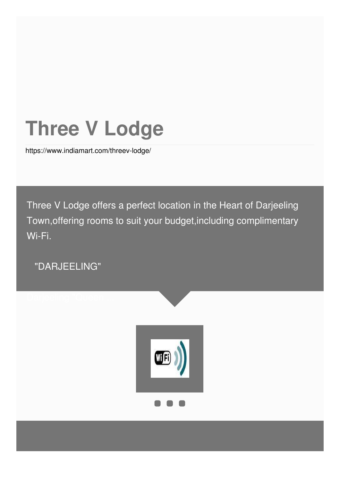# **Three V Lodge**

<https://www.indiamart.com/threev-lodge/>

Three V Lodge offers a perfect location in the Heart of Darjeeling Town,offering rooms to suit your budget,including complimentary Wi-Fi.

"DARJEELING"

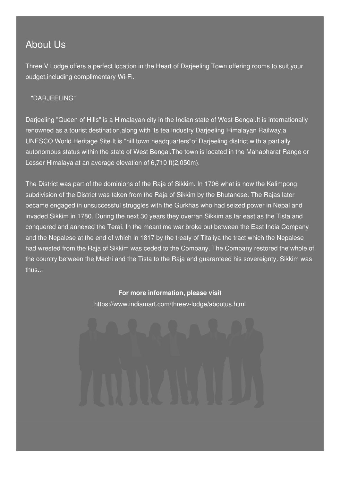### About Us

Three V Lodge offers a perfect location in the Heart of Darjeeling Town,offering rooms to suit your budget,including complimentary Wi-Fi.

#### "DARJEELING"

Darjeeling "Queen of Hills" is a Himalayan city in the Indian state of West-Bengal.It is internationally renowned as a tourist destination,along with its tea industry Darjeeling Himalayan Railway,a UNESCO World Heritage Site.It is "hill town headquarters"of Darjeeling district with a partially autonomous status within the state of West Bengal.The town is located in the Mahabharat Range or Lesser Himalaya at an average elevation of 6,710 ft(2,050m).

The District was part of the dominions of the Raja of Sikkim. In 1706 what is now the Kalimpong subdivision of the District was taken from the Raja of Sikkim by the Bhutanese. The Rajas later became engaged in unsuccessful struggles with the Gurkhas who had seized power in Nepal and invaded Sikkim in 1780. During the next 30 years they overran Sikkim as far east as the Tista and conquered and annexed the Terai. In the meantime war broke out between the East India Company and the Nepalese at the end of which in 1817 by the treaty of Titaliya the tract which the Nepalese had wrested from the Raja of Sikkim was ceded to the Company. The Company restored the whole of the country between the Mechi and the Tista to the Raja and guaranteed his sovereignty. Sikkim was thus...

> **For more information, please visit** <https://www.indiamart.com/threev-lodge/aboutus.html>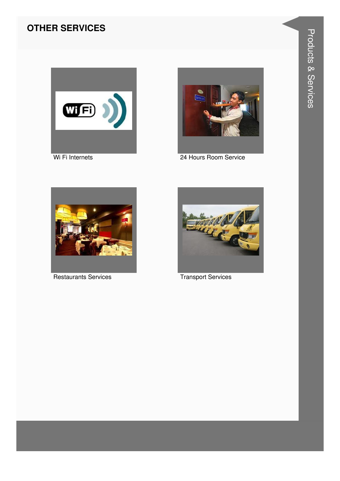#### **OTHER SERVICES**





24 Hours Room Service



**Restaurants Services** 



**Transport Services**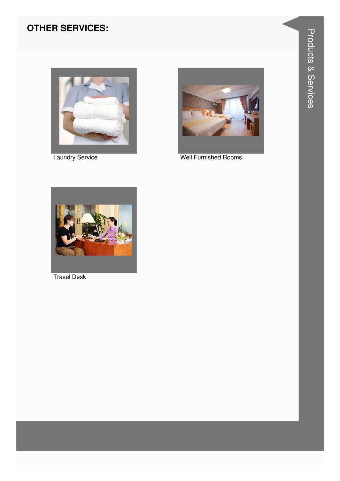### **OTHER SERVICES:**



**Laundry Service** 



**Well Furnished Rooms** 



**Travel Desk**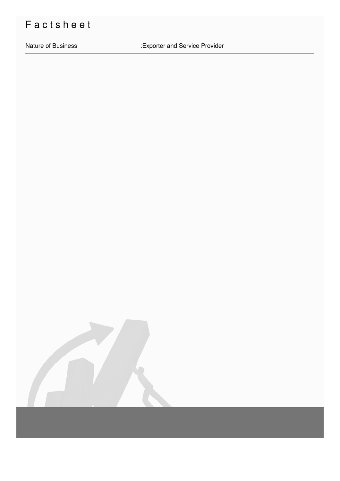## Factsheet

Nature of Business **in Accord Exporter and Service Provider**